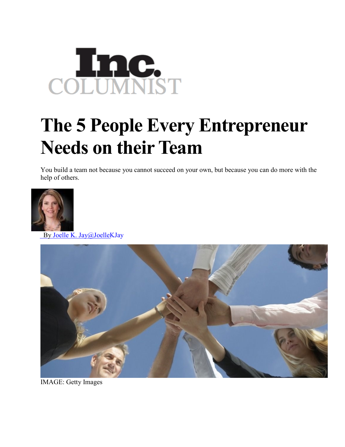

## **The 5 People Every Entrepreneur Needs on their Team**

You build a team not because you cannot succeed on your own, but because you can do more with the help of others.



By Joelle K. [Jay@JoelleKJay](http://www.inc.com/author/joelle-k-jay)



IMAGE: Getty Images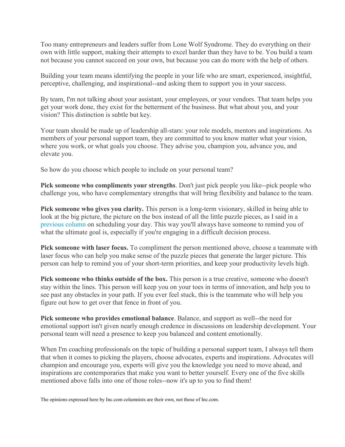Too many entrepreneurs and leaders suffer from Lone Wolf Syndrome. They do everything on their own with little support, making their attempts to excel harder than they have to be. You build a team not because you cannot succeed on your own, but because you can do more with the help of others.

Building your team means identifying the people in your life who are smart, experienced, insightful, perceptive, challenging, and inspirational--and asking them to support you in your success.

By team, I'm not talking about your assistant, your employees, or your vendors. That team helps you get your work done, they exist for the betterment of the business. But what about you, and your vision? This distinction is subtle but key.

Your team should be made up of leadership all-stars: your role models, mentors and inspirations. As members of your personal support team, they are committed to you know matter what your vision, where you work, or what goals you choose. They advise you, champion you, advance you, and elevate you.

So how do you choose which people to include on your personal team?

**Pick someone who compliments your strengths**. Don't just pick people you like--pick people who challenge you, who have complementary strengths that will bring flexibility and balance to the team.

**Pick someone who gives you clarity.** This person is a long-term visionary, skilled in being able to look at the big picture, the picture on the box instead of all the little puzzle pieces, as I said in a [previous column](http://www.inc.com/joelle-k-jay/the-puzzle-method-of-scheduling-your-day.html) on scheduling your day. This way you'll always have someone to remind you of what the ultimate goal is, especially if you're engaging in a difficult decision process.

**Pick someone with laser focus.** To compliment the person mentioned above, choose a teammate with laser focus who can help you make sense of the puzzle pieces that generate the larger picture. This person can help to remind you of your short-term priorities, and keep your productivity levels high.

**Pick someone who thinks outside of the box.** This person is a true creative, someone who doesn't stay within the lines. This person will keep you on your toes in terms of innovation, and help you to see past any obstacles in your path. If you ever feel stuck, this is the teammate who will help you figure out how to get over that fence in front of you.

**Pick someone who provides emotional balance**. Balance, and support as well--the need for emotional support isn't given nearly enough credence in discussions on leadership development. Your personal team will need a presence to keep you balanced and content emotionally.

When I'm coaching professionals on the topic of building a personal support team, I always tell them that when it comes to picking the players, choose advocates, experts and inspirations. Advocates will champion and encourage you, experts will give you the knowledge you need to move ahead, and inspirations are contemporaries that make you want to better yourself. Every one of the five skills mentioned above falls into one of those roles--now it's up to you to find them!

The opinions expressed here by Inc.com columnists are their own, not those of Inc.com.